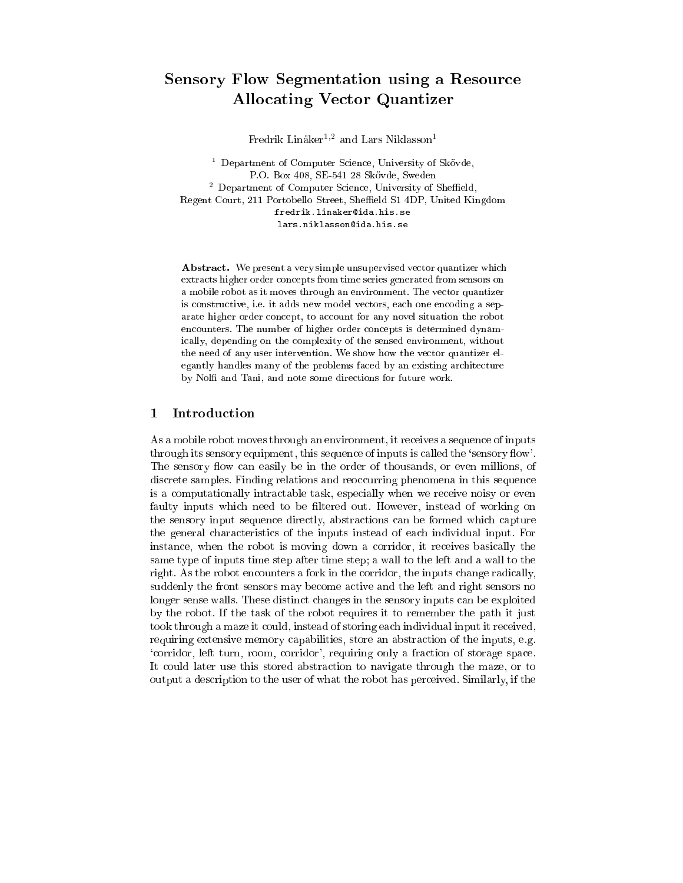# Sensory Flow Segmentation using a Resour
e Allo
ating Ve
tor Quantizer

Fredrik Linaker1;2 and Lars Niklasson<sup>1</sup>

- Department of Computer Science, University of Skovde, P.O. Box 408, SE-541 28 Skövde, Sweden - Department of Computer Science, University of Shemeld, Regent Court, 211 Portobello Street, SheÆeld S1 4DP, United Kingdom fredrik.linaker@ida.his.se lars.niklasson@ida.his.se

Abstract. We present a very simple unsupervised vector quantizer which extracts higher order concepts from time series generated from sensors on a mobile robot as it moves through an environment. The vector quantizer is constructive, i.e. it adds new model vectors, each one encoding a separate higher order concept, to account for any novel situation the robot encounters. The number of higher order concepts is determined dynami
ally, depending on the omplexity of the sensed environment, without the need of any user intervention. We show how the vector quantizer elegantly handles many of the problems faced by an existing architecture by Nolfi and Tani, and note some directions for future work.

#### 1 Introdu
tion

As a mobile robot moves through an environment, it re
eives a sequen
e of inputs through its sensory equipment, this sequence of inputs is called the 'sensory flow'. The sensory flow can easily be in the order of thousands, or even millions, of discrete samples. Finding relations and reoccurring phenomena in this sequence is a omputationally intra
table task, espe
ially when we re
eive noisy or even faulty inputs which need to be filtered out. However, instead of working on the sensory input sequence directly, abstractions can be formed which capture the general characteristics of the inputs instead of each individual input. For instan
e, when the robot is moving down a orridor, it re
eives basi
ally the same type of inputs time step after time step; a wall to the left and a wall to the right. As the robot encounters a fork in the corridor, the inputs change radically, suddenly the front sensors may become active and the left and right sensors no longer sense walls. These distinct changes in the sensory inputs can be exploited by the robot. If the task of the robot requires it to remember the path it just took through a maze it could, instead of storing each individual input it received, requiring extensive memory capabilities, store an abstraction of the inputs, e.g. 'corridor, left turn, room, corridor', requiring only a fraction of storage space. It could later use this stored abstraction to navigate through the maze, or to output a des
ription to the user of what the robot has per
eived. Similarly, if the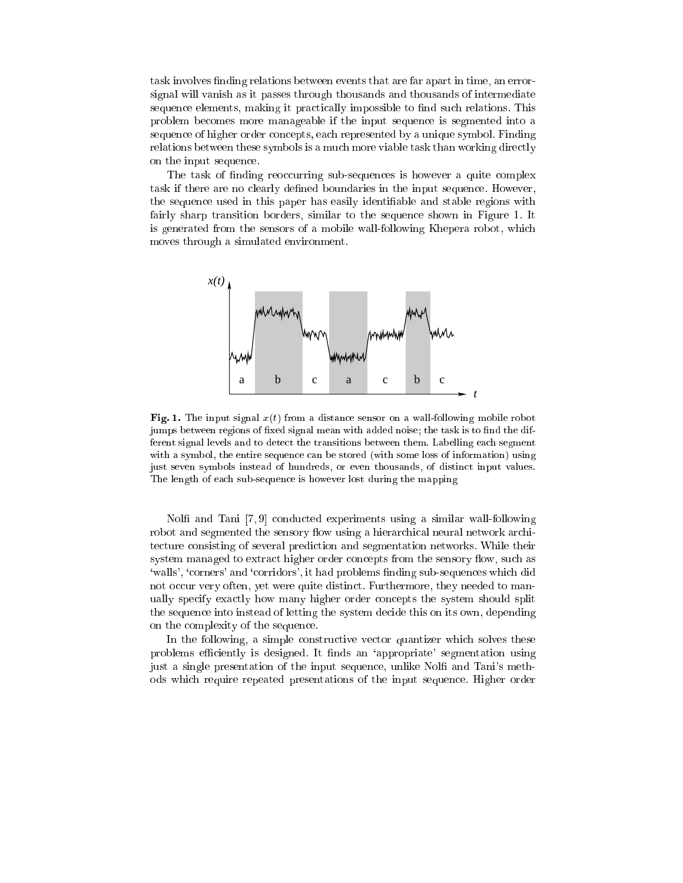task involves finding relations between events that are far apart in time, an errorsignal will vanish as it passes through thousands and thousands of intermediate sequence elements, making it practically impossible to find such relations. This problem be
omes more manageable if the input sequen
e is segmented into a sequence of higher order concepts, each represented by a unique symbol. Finding relations between these symbols is a much more viable task than working directly on the input sequen
e.

The task of finding reoccurring sub-sequences is however a quite complex task if there are no clearly defined boundaries in the input sequence. However, the sequen
e used in this paper has easily identiable and stable regions with fairly sharp transition borders, similar to the sequence shown in Figure 1. It is generated from the sensors of a mobile wall-following Khepera robot, whi
h moves through a simulated environment.



Fig. 1. The input signal  $x(t)$  from a distance sensor on a wall-following mobile robot jumps between regions of fixed signal mean with added noise; the task is to find the different signal levels and to detect the transitions between them. Labelling each segment with a symbol, the entire sequence can be stored (with some loss of information) using just seven symbols instead of hundreds, or even thousands, of distin
t input values. The length of each sub-sequence is however lost during the mapping

Nolfi and Tani [7,9] conducted experiments using a similar wall-following robot and segmented the sensory flow using a hierarchical neural network architecture consisting of several prediction and segmentation networks. While their system managed to extract higher order concepts from the sensory flow, such as 'walls', 'corners' and 'corridors', it had problems finding sub-sequences which did not occur very often, yet were quite distinct. Furthermore, they needed to manually specify exactly how many higher order concepts the system should split the sequence into instead of letting the system decide this on its own, depending on the omplexity of the sequen
e.

In the following, a simple constructive vector quantizer which solves these problems efficiently is designed. It finds an 'appropriate' segmentation using just a single presentation of the input sequence, unlike Nolfi and Tani's methods whi
h require repeated presentations of the input sequen
e. Higher order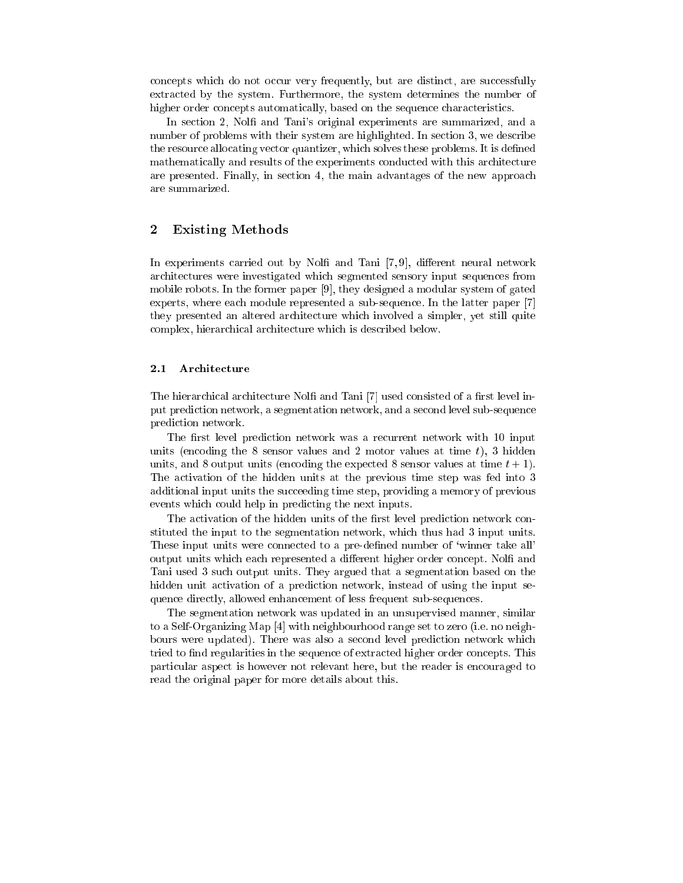concepts which do not occur very frequently, but are distinct, are successfully extra
ted by the system. Furthermore, the system determines the number of higher order concepts automatically, based on the sequence characteristics.

In section 2, Nolfi and Tani's original experiments are summarized, and a number of problems with their system are highlighted. In section 3, we describe the resource allocating vector quantizer, which solves these problems. It is defined mathematically and results of the experiments conducted with this architecture are presented. Finally, in section 4, the main advantages of the new approach are summarized.

### 2 Existing Methods

In experiments carried out by Nolfi and Tani  $[7, 9]$ , different neural network ar
hite
tures were investigated whi
h segmented sensory input sequen
es from mobile robots. In the former paper  $[9]$ , they designed a modular system of gated experts, where each module represented a sub-sequence. In the latter paper [7] they presented an altered architecture which involved a simpler, yet still quite complex, hierarchical architecture which is described below.

#### 2.1 Architecture

The hierarchical architecture Nolfi and Tani [7] used consisted of a first level input prediction network, a segmentation network, and a second level sub-sequence predi
tion network.

The first level prediction network was a recurrent network with 10 input units (encoding the 8 sensor values and 2 motor values at time  $t$ ), 3 hidden units, and 8 output units (encoding the expected 8 sensor values at time  $t + 1$ ). The a
tivation of the hidden units at the previous time step was fed into 3 additional input units the succeeding time step, providing a memory of previous events which could help in predicting the next inputs.

The activation of the hidden units of the first level prediction network constituted the input to the segmentation network, whi
h thus had 3 input units. These input units were connected to a pre-defined number of 'winner take all' output units which each represented a different higher order concept. Nolfi and Tani used 3 su
h output units. They argued that a segmentation based on the hidden unit activation of a prediction network, instead of using the input sequence directly, allowed enhancement of less frequent sub-sequences.

The segmentation network was updated in an unsupervised manner, similar to a Self-Organizing Map  $[4]$  with neighbourhood range set to zero (i.e. no neighbours were updated). There was also a second level prediction network which tried to find regularities in the sequence of extracted higher order concepts. This particular aspect is however not relevant here, but the reader is encouraged to read the original paper for more details about this.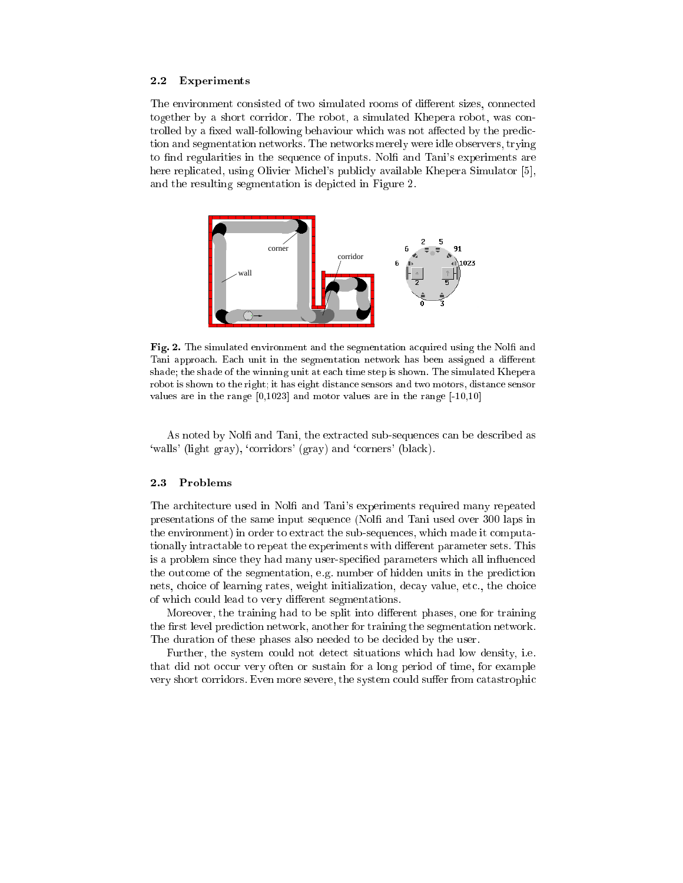#### 2.2 Experiments

The environment consisted of two simulated rooms of different sizes, connected together by a short orridor. The robot, a simulated Khepera robot, was ontrolled by a fixed wall-following behaviour which was not affected by the prediction and segmentation networks. The networks merely were idle observers, trying to find regularities in the sequence of inputs. Nolfi and Tani's experiments are here replicated, using Olivier Michel's publicly available Khepera Simulator [5], and the resulting segmentation is depi
ted in Figure 2.



Fig. 2. The simulated environment and the segmentation acquired using the Nolfi and Tani approach. Each unit in the segmentation network has been assigned a different shade; the shade of the winning unit at each time step is shown. The simulated Khepera robot is shown to the right; it has eight distan
e sensors and two motors, distan
e sensor values are in the range  $[0,1023]$  and motor values are in the range  $[-10,10]$ 

As noted by Nolfi and Tani, the extracted sub-sequences can be described as 'walls' (light gray), 'corridors' (gray) and 'corners' (black).

#### 2.3 Problems

The architecture used in Nolfi and Tani's experiments required many repeated presentations of the same input sequence (Nolfi and Tani used over 300 laps in the environment) in order to extract the sub-sequences, which made it computationally intractable to repeat the experiments with different parameter sets. This is a problem since they had many user-specified parameters which all influenced the outcome of the segmentation, e.g. number of hidden units in the prediction nets, choice of learning rates, weight initialization, decay value, etc., the choice of which could lead to very different segmentations.

Moreover, the training had to be split into different phases, one for training the first level prediction network, another for training the segmentation network. The duration of these phases also needed to be decided by the user.

Further, the system ould not dete
t situations whi
h had low density, i.e. that did not occur very often or sustain for a long period of time, for example very short corridors. Even more severe, the system could suffer from catastrophic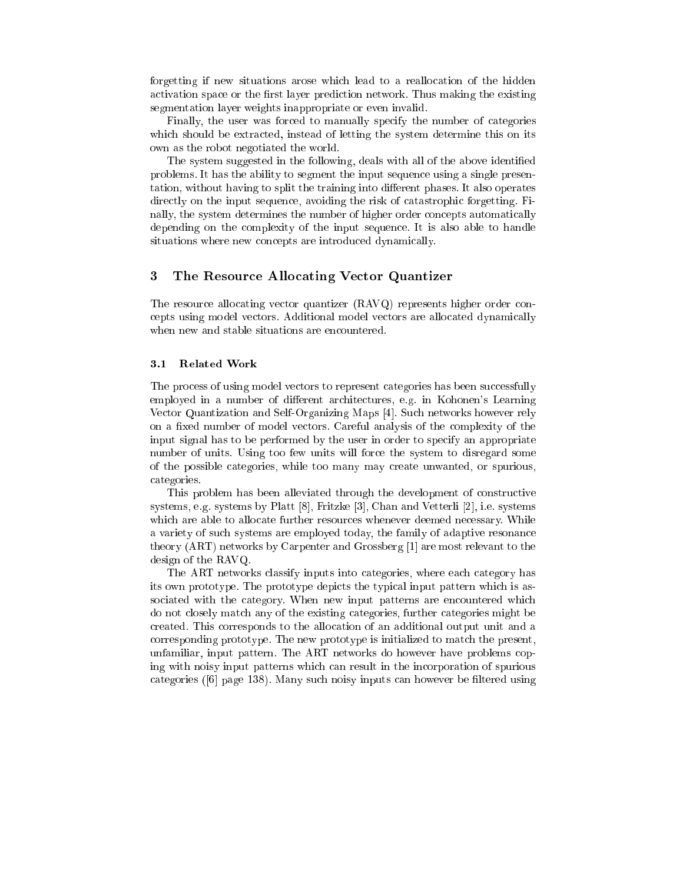forgetting if new situations arose which lead to a reallocation of the hidden activation space or the first layer prediction network. Thus making the existing segmentation layer weights inappropriate or even invalid.

Finally, the user was for
ed to manually spe
ify the number of ategories which should be extracted, instead of letting the system determine this on its own as the robot negotiated the world.

The system suggested in the following, deals with all of the above identied problems. It has the ability to segment the input sequen
e using a single presentation, without having to split the training into different phases. It also operates directly on the input sequence, avoiding the risk of catastrophic forgetting. Finally, the system determines the number of higher order concepts automatically depending on the omplexity of the input sequen
e. It is also able to handle situations where new concepts are introduced dynamically.

#### 3 The Resource Allocating Vector Quantizer

The resource allocating vector quantizer (RAVQ) represents higher order conepts using model ve
tors. Additional model ve
tors are allo
ated dynami
ally when new and stable situations are encountered.

#### 3.1 Related Work

The process of using model vectors to represent categories has been successfully employed in a number of different architectures, e.g. in Kohonen's Learning Vector Quantization and Self-Organizing Maps [4]. Such networks however rely on a fixed number of model vectors. Careful analysis of the complexity of the input signal has to be performed by the user in order to specify an appropriate number of units. Using too few units will for
e the system to disregard some of the possible ategories, while too many may reate unwanted, or spurious, ategories.

This problem has been alleviated through the development of constructive systems, e.g. systems by Platt  $[8]$ , Fritzke  $[3]$ , Chan and Vetterli  $[2]$ , i.e. systems which are able to allocate further resources whenever deemed necessary. While a variety of such systems are employed today, the family of adaptive resonance theory  $(ART)$  networks by Carpenter and Grossberg  $[1]$  are most relevant to the design of the RAVQ.

The ART networks classify inputs into categories, where each category has its own prototype. The prototype depicts the typical input pattern which is associated with the category. When new input patterns are encountered which do not closely match any of the existing categories, further categories might be reated. This orresponds to the allo
ation of an additional output unit and a orresponding prototype. The new prototype is initialized to mat
h the present, unfamiliar, input pattern. The ART networks do however have problems oping with noisy input patterns whi
h an result in the in
orporation of spurious categories ([6] page 138). Many such noisy inputs can however be filtered using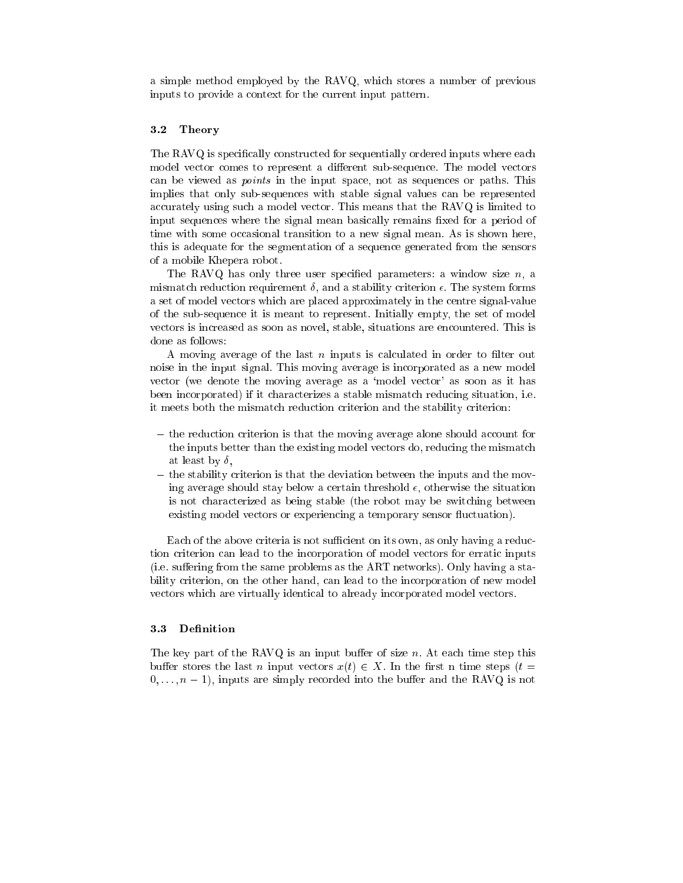a simple method employed by the RAVQ, whi
h stores a number of previous inputs to provide a context for the current input pattern.

#### 3.2 Theory

The RAVQ is specifically constructed for sequentially ordered inputs where each model vector comes to represent a different sub-sequence. The model vectors can be viewed as *points* in the input space, not as sequences or paths. This implies that only sub-sequen
es with stable signal values an be represented accurately using such a model vector. This means that the RAVQ is limited to input sequences where the signal mean basically remains fixed for a period of time with some occasional transition to a new signal mean. As is shown here, this is adequate for the segmentation of a sequen
e generated from the sensors of a mobile Khepera robot.

The RAVQ has only three user specified parameters: a window size  $n$ , a mismatch reduction requirement  $\delta$ , and a stability criterion  $\epsilon$ . The system forms a set of model vectors which are placed approximately in the centre signal-value of the sub-sequen
e it is meant to represent. Initially empty, the set of model vectors is increased as soon as novel, stable, situations are encountered. This is done as follows:

A moving average of the last  $n$  inputs is calculated in order to filter out noise in the input signal. This moving average is in
orporated as a new model vector (we denote the moving average as a 'model vector' as soon as it has been in
orporated) if it hara
terizes a stable mismat
h redu
ing situation, i.e. it meets both the mismat
h redu
tion riterion and the stability riterion:

- $-$  the reduction criterion is that the moving average alone should account for the inputs better than the existing model vectors do, reducing the mismatch at least by  $\delta$ ,
- $-$  the stability criterion is that the deviation between the inputs and the moving average should stay below a certain threshold  $\epsilon$ , otherwise the situation is not hara
terized as being stable (the robot may be swit
hing between existing model vectors or experiencing a temporary sensor fluctuation).

Each of the above criteria is not sufficient on its own, as only having a reduction criterion can lead to the incorporation of model vectors for erratic inputs  $(i.e.$  suffering from the same problems as the ART networks). Only having a stability criterion, on the other hand, can lead to the incorporation of new model vectors which are virtually identical to already incorporated model vectors.

#### 3.3 Definition

The key part of the RAVQ is an input buffer of size n. At each time step this buffer stores the last n input vectors  $x(t) \in X$ . In the first n time steps  $(t =$  $0, \ldots, n-1$ , inputs are simply recorded into the buffer and the RAVQ is not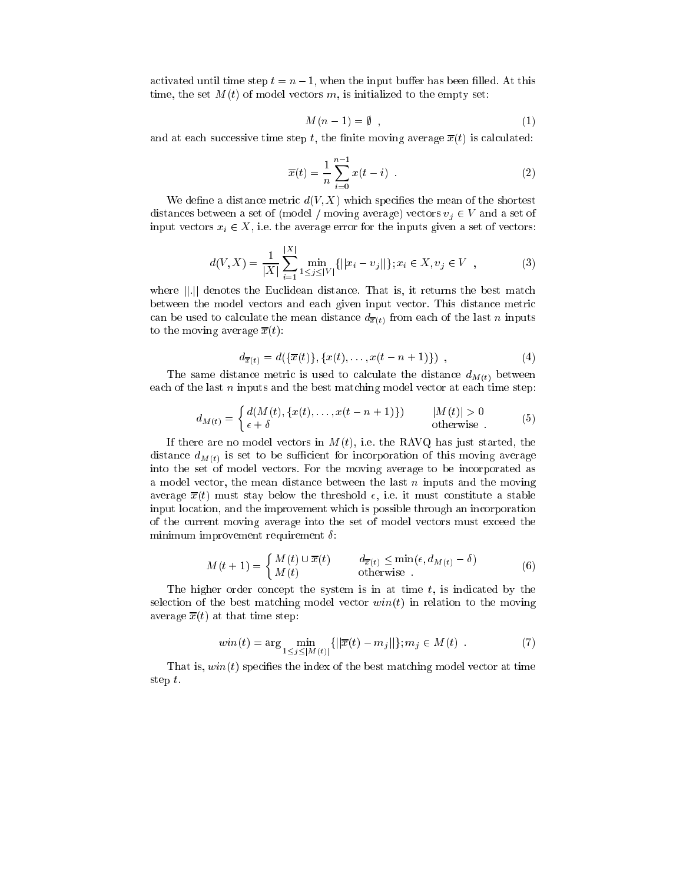activated until time step  $t = n - 1$ , when the input buffer has been filled. At this time, the set  $M(t)$  of model vectors m, is initialized to the empty set:

$$
M(n-1) = \emptyset , \t\t(1)
$$

and at each successive time step t, the finite moving average  $\overline{x}(t)$  is calculated:

$$
\overline{x}(t) = \frac{1}{n} \sum_{i=0}^{n-1} x(t-i) .
$$
 (2)

We define a distance metric  $d(V, X)$  which specifies the mean of the shortest distances between a set of (model / moving average) vectors  $v_i \in V$  and a set of input vectors  $x_i \in X$ , i.e. the average error for the inputs given a set of vectors:

$$
d(V, X) = \frac{1}{|X|} \sum_{i=1}^{|X|} \min_{1 \le j \le |V|} \{ ||x_i - v_j|| \}; x_i \in X, v_j \in V \quad , \tag{3}
$$

where ||.|| denotes the Euclidean distance. That is, it returns the best match between the model vectors and each given input vector. This distance metric can be used to calculate the mean distance  $d_{\overline{x}(t)}$  from each of the last *n* inputs to the moving average  $\overline{x}(t)$ :

$$
d_{\overline{x}(t)} = d(\{\overline{x}(t)\}, \{x(t), \ldots, x(t - n + 1)\}) , \qquad (4)
$$

The same distance metric is used to calculate the distance  $d_{M(t)}$  between each of the last *n* inputs and the best matching model vector at each time step:

$$
d_{M(t)} = \begin{cases} d(M(t), \{x(t), \dots, x(t-n+1)\}) & |M(t)| > 0\\ \epsilon + \delta & \text{otherwise} \end{cases}
$$
(5)

If there are no model vectors in  $M(t)$ , i.e. the RAVQ has just started, the distance  $d_{M(t)}$  is set to be sufficient for incorporation of this moving average into the set of model vectors. For the moving average to be incorporated as a model vector, the mean distance between the last  $n$  inputs and the moving average  $\overline{x}(t)$  must stay below the threshold  $\epsilon$ , i.e. it must constitute a stable input location, and the improvement which is possible through an incorporation of the urrent moving average into the set of model ve
tors must ex
eed the minimum improvement requirement  $\delta$ :

$$
M(t+1) = \begin{cases} M(t) \cup \overline{x}(t) & d_{\overline{x}(t)} \le \min(\epsilon, d_{M(t)} - \delta) \\ M(t) & \text{otherwise} \end{cases}
$$
(6)

The higher order concept the system is in at time  $t$ , is indicated by the selection of the best matching model vector  $win(t)$  in relation to the moving average  $\overline{x}(t)$  at that time step:

$$
win(t) = \arg \min_{1 \le j \le |M(t)|} \{ ||\overline{x}(t) - m_j|| \}; m_j \in M(t) . \tag{7}
$$

That is,  $win(t)$  specifies the index of the best matching model vector at time step t.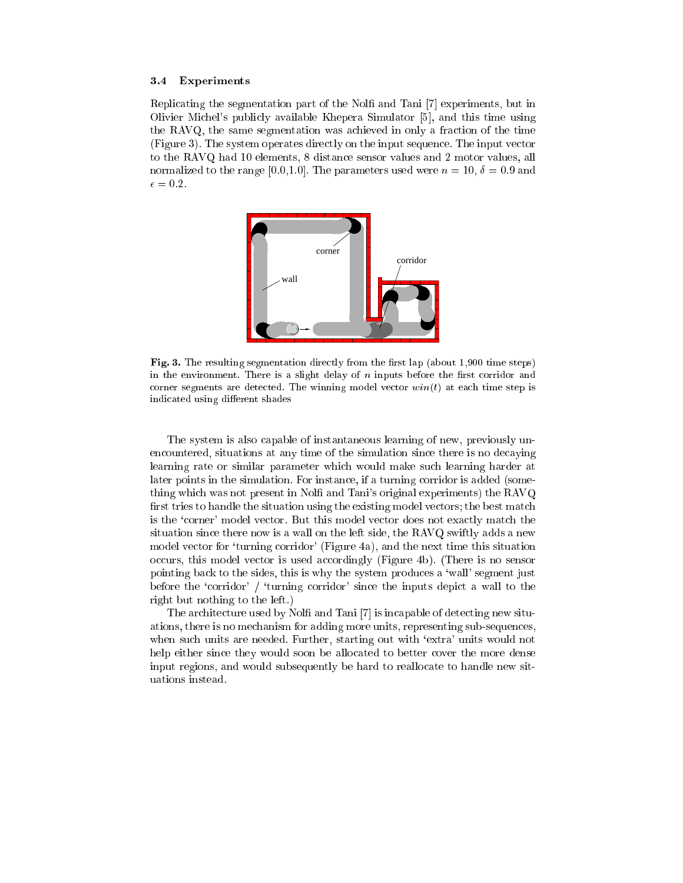#### 3.4 Experiments

Replicating the segmentation part of the Nolfi and Tani [7] experiments, but in Olivier Michel's publicly available Khepera Simulator [5], and this time using the RAVQ, the same segmentation was achieved in only a fraction of the time (Figure 3). The system operates dire
tly on the input sequen
e. The input ve
tor to the RAVQ had 10 elements, 8 distan
e sensor values and 2 motor values, all normalized to the range [0.0,1.0]. The parameters used were  $n = 10$ ,  $\delta = 0.9$  and  $\epsilon = 0.2$ .



Fig. 3. The resulting segmentation directly from the first lap (about 1,900 time steps) in the environment. There is a slight delay of  $n$  inputs before the first corridor and corner segments are detected. The winning model vector  $win(t)$  at each time step is indicated using different shades

The system is also capable of instantaneous learning of new, previously unencountered, situations at any time of the simulation since there is no decaying learning rate or similar parameter whi
h would make su
h learning harder at later points in the simulation. For instance, if a turning corridor is added (something which was not present in Nolfi and Tani's original experiments) the RAVQ first tries to handle the situation using the existing model vectors; the best match is the 'corner' model vector. But this model vector does not exactly match the situation sin
e there now is a wall on the left side, the RAVQ swiftly adds a new model vector for 'turning corridor' (Figure 4a), and the next time this situation occurs, this model vector is used accordingly (Figure 4b). (There is no sensor pointing ba
k to the sides, this is why the system produ
es a `wall' segment just before the 'corridor' / 'turning corridor' since the inputs depict a wall to the right but nothing to the left.)

The architecture used by Nolfi and Tani [7] is incapable of detecting new situations, there is no me
hanism for adding more units, representing sub-sequen
es, when such units are needed. Further, starting out with 'extra' units would not help either since they would soon be allocated to better cover the more dense input regions, and would subsequently be hard to reallo
ate to handle new situations instead.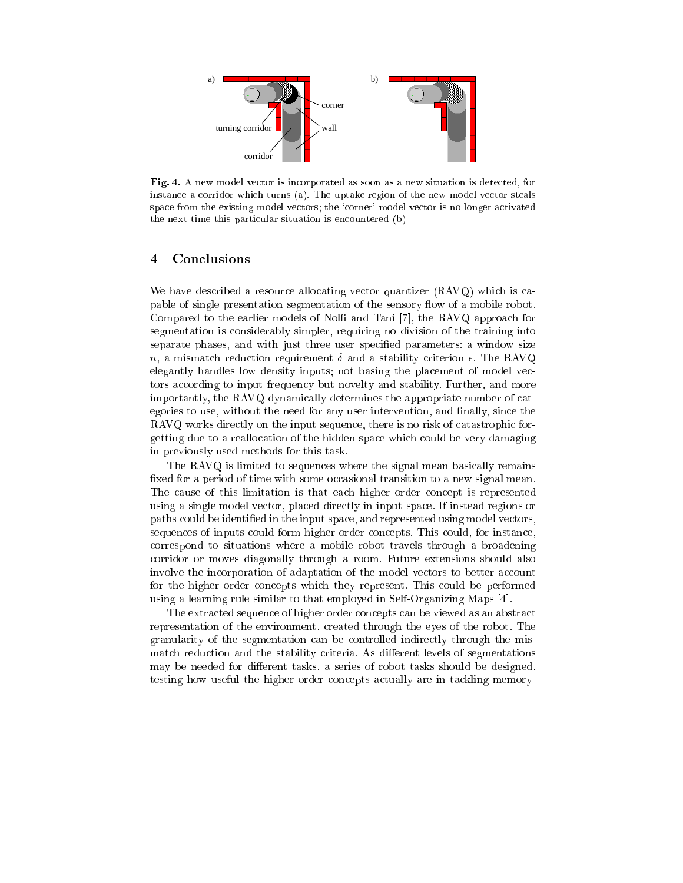

Fig. 4. A new model vector is incorporated as soon as a new situation is detected, for instance a corridor which turns (a). The uptake region of the new model vector steals space from the existing model vectors; the 'corner' model vector is no longer activated the next time this particular situation is encountered (b)

We have described a resource allocating vector quantizer (RAVQ) which is capable of single presentation segmentation of the sensory flow of a mobile robot. Compared to the earlier models of Nolfi and Tani [7], the RAVQ approach for segmentation is onsiderably simpler, requiring no division of the training into separate phases, and with just three user specified parameters: a window size n, a mismatch reduction requirement  $\delta$  and a stability criterion  $\epsilon$ . The RAVQ elegantly handles low density inputs; not basing the placement of model vectors according to input frequency but novelty and stability. Further, and more importantly, the RAVQ dynamically determines the appropriate number of categories to use, without the need for any user intervention, and finally, since the RAVQ works directly on the input sequence, there is no risk of catastrophic forgetting due to a reallo
ation of the hidden spa
e whi
h ould be very damaging in previously used methods for this task.

The RAVQ is limited to sequences where the signal mean basically remains fixed for a period of time with some occasional transition to a new signal mean. The ause of this limitation is that ea
h higher order on
ept is represented using a single model ve
tor, pla
ed dire
tly in input spa
e. If instead regions or paths ould be identied in the input spa
e, and represented using model ve
tors, sequences of inputs could form higher order concepts. This could, for instance, orrespond to situations where a mobile robot travels through a broadening orridor or moves diagonally through a room. Future extensions should also involve the incorporation of adaptation of the model vectors to better account for the higher order concepts which they represent. This could be performed using a learning rule similar to that employed in Self-Organizing Maps [4].

The extracted sequence of higher order concepts can be viewed as an abstract representation of the environment, reated through the eyes of the robot. The granularity of the segmentation can be controlled indirectly through the mismatch reduction and the stability criteria. As different levels of segmentations may be needed for different tasks, a series of robot tasks should be designed, testing how useful the higher order concepts actually are in tackling memory